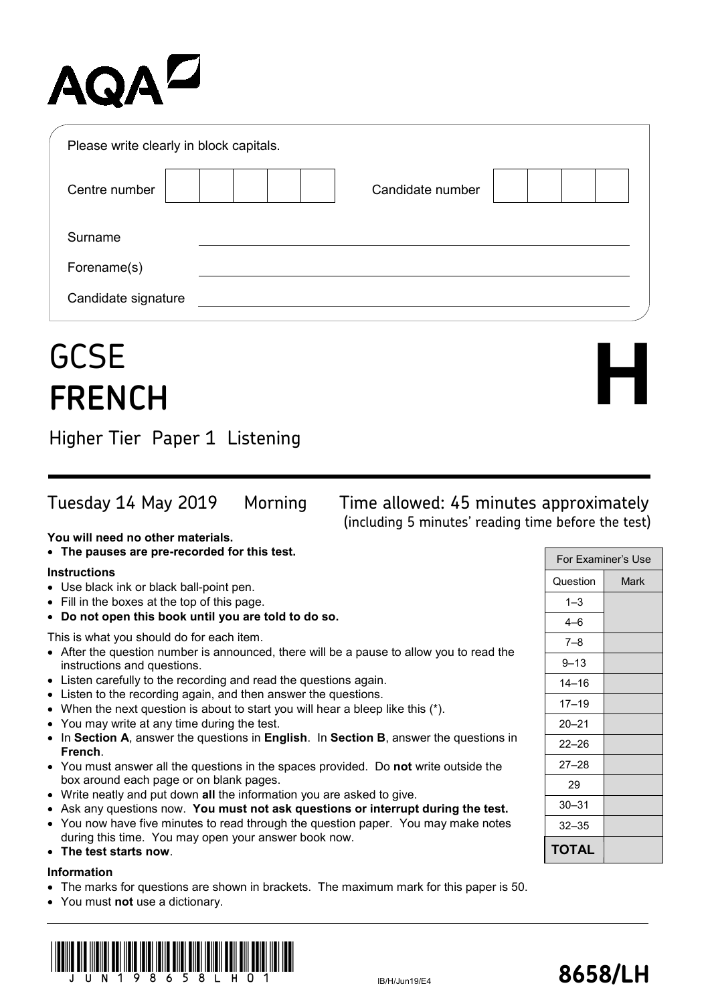# **AQAL**

| Please write clearly in block capitals. |                  |  |
|-----------------------------------------|------------------|--|
| Centre number                           | Candidate number |  |
| Surname                                 |                  |  |
| Forename(s)                             |                  |  |
| Candidate signature                     |                  |  |

# **GCSE FRENCH**

Higher Tier Paper 1 Listening

Tuesday 14 May 2019 Morning Time allowed: 45 minutes approximately (including 5 minutes' reading time before the test)

**You will need no other materials.**

• **The pauses are pre-recorded for this test.**

### **Instructions**

- Use black ink or black ball-point pen.
- Fill in the boxes at the top of this page.
- **Do not open this book until you are told to do so.**

This is what you should do for each item.

- After the question number is announced, there will be a pause to allow you to read the instructions and questions.
- Listen carefully to the recording and read the questions again.
- Listen to the recording again, and then answer the questions.
- When the next question is about to start you will hear a bleep like this (\*).
- You may write at any time during the test.
- In **Section A**, answer the questions in **English**. In **Section B**, answer the questions in **French**.
- You must answer all the questions in the spaces provided. Do **not** write outside the box around each page or on blank pages.
- Write neatly and put down **all** the information you are asked to give.
- Ask any questions now. **You must not ask questions or interrupt during the test.**
- You now have five minutes to read through the question paper. You may make notes during this time. You may open your answer book now.
- **The test starts now**.

# **Information**

- The marks for questions are shown in brackets. The maximum mark for this paper is 50.
- You must **not** use a dictionary.





**H**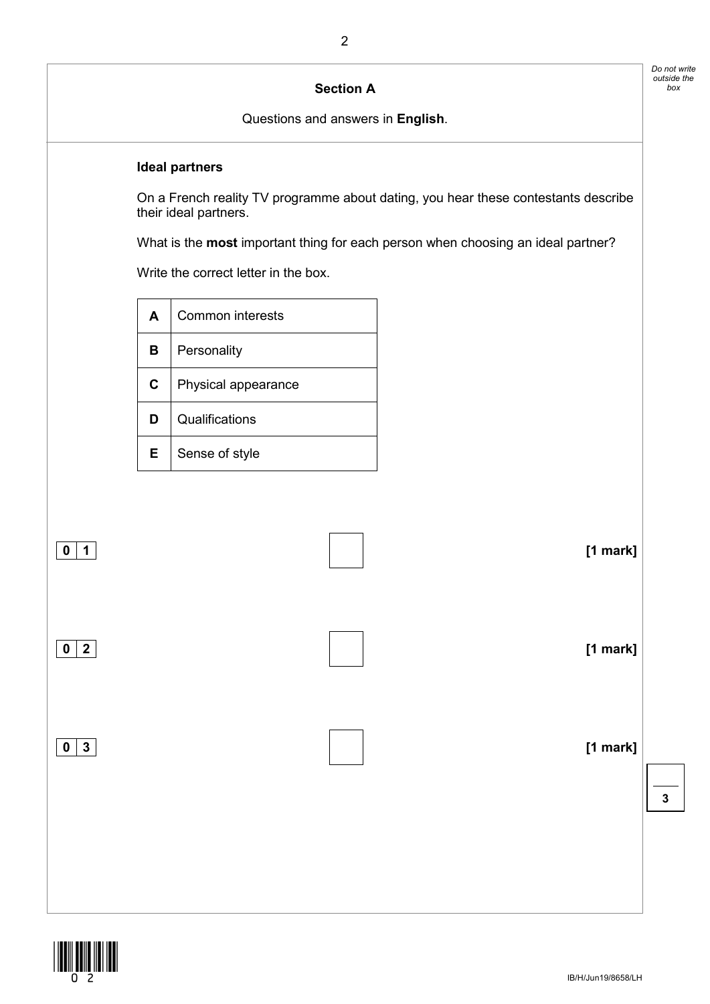# **Section A**

Questions and answers in **English**.

#### **Ideal partners**

On a French reality TV programme about dating, you hear these contestants describe their ideal partners.

What is the **most** important thing for each person when choosing an ideal partner?

Write the correct letter in the box.

| A  | Common interests    |
|----|---------------------|
| в  | Personality         |
| C  | Physical appearance |
| D  | Qualifications      |
| Е. | Sense of style      |



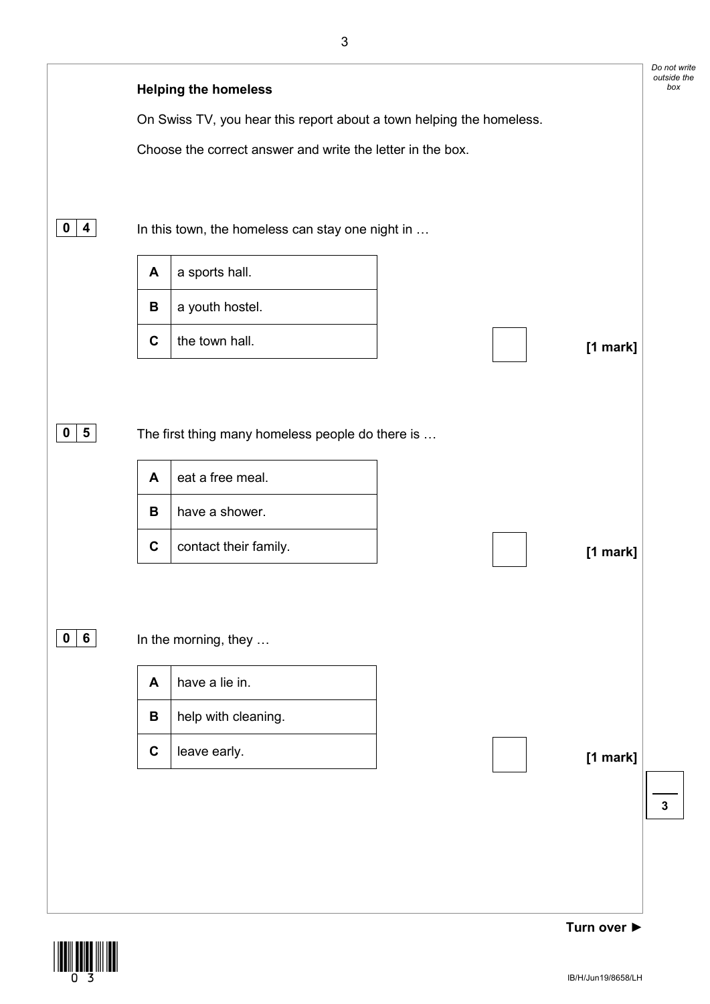

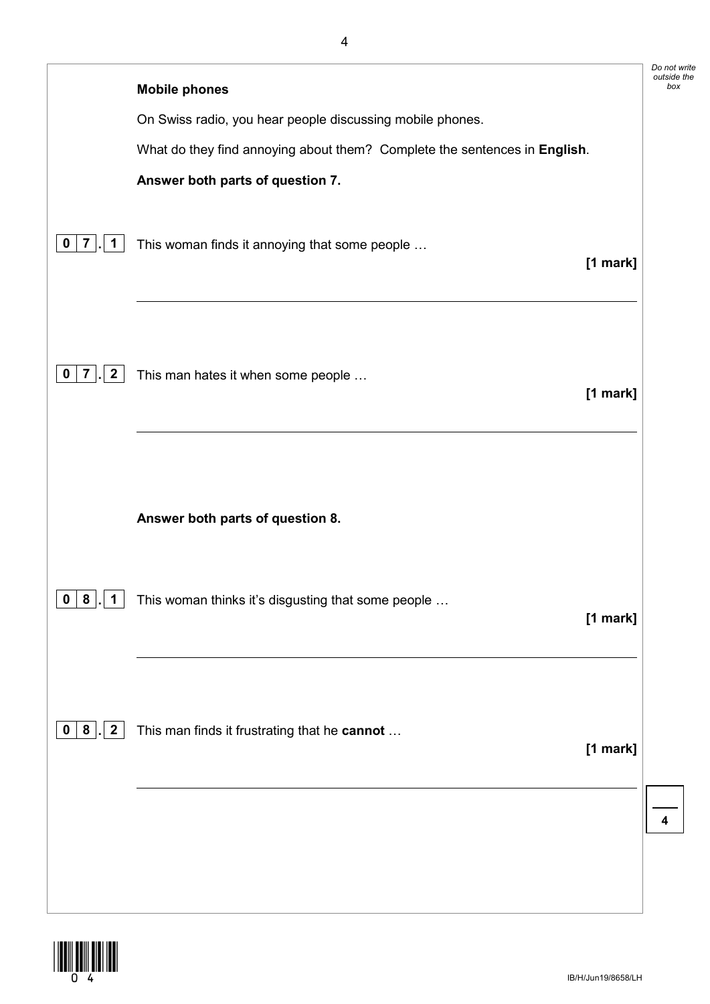|                                              | <b>Mobile phones</b>                                                      | Do not write<br>outside the<br>box |
|----------------------------------------------|---------------------------------------------------------------------------|------------------------------------|
|                                              | On Swiss radio, you hear people discussing mobile phones.                 |                                    |
|                                              | What do they find annoying about them? Complete the sentences in English. |                                    |
|                                              | Answer both parts of question 7.                                          |                                    |
| $\overline{7}$<br>$\mathbf 1$<br>$\mathbf 0$ | This woman finds it annoying that some people<br>[1 mark]                 |                                    |
| $\overline{2}$<br>$\overline{7}$<br>0        | This man hates it when some people<br>[1 mark]                            |                                    |
|                                              | Answer both parts of question 8.                                          |                                    |
| $\mathbf 0$<br>8<br>$\mathbf{1}$             | This woman thinks it's disgusting that some people<br>[1 mark]            |                                    |
| .  2<br>0   8                                | This man finds it frustrating that he cannot<br>[1 mark]                  |                                    |
|                                              |                                                                           | 4                                  |

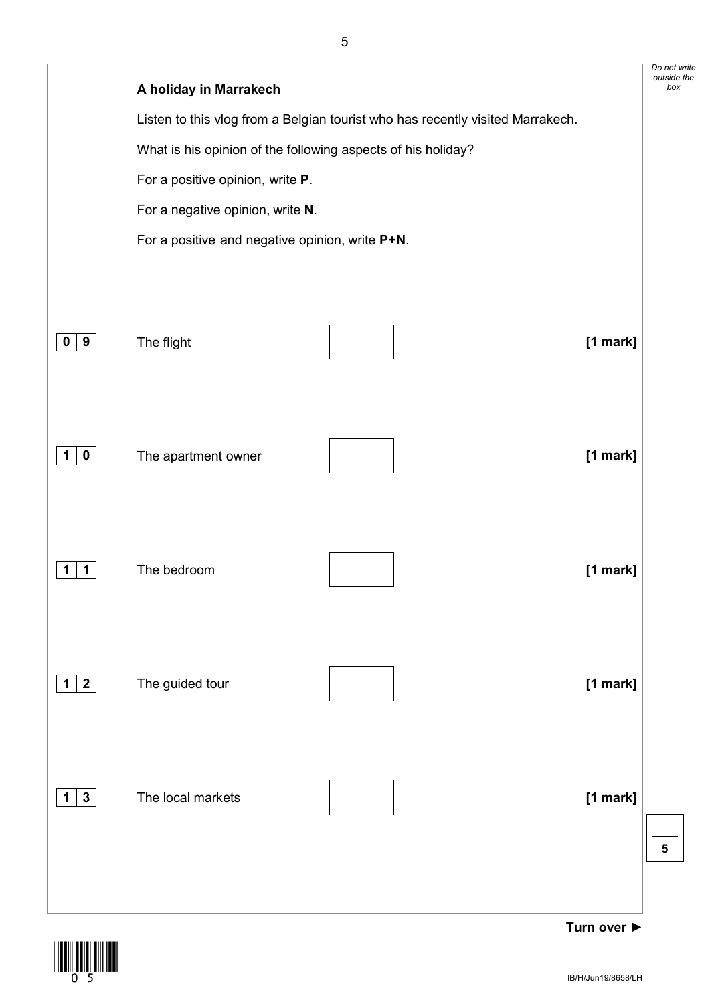|                              | A holiday in Marrakech                                       |                                                                                |            | Do not write<br>outside the<br>box |
|------------------------------|--------------------------------------------------------------|--------------------------------------------------------------------------------|------------|------------------------------------|
|                              |                                                              | Listen to this vlog from a Belgian tourist who has recently visited Marrakech. |            |                                    |
|                              | What is his opinion of the following aspects of his holiday? |                                                                                |            |                                    |
|                              | For a positive opinion, write P.                             |                                                                                |            |                                    |
|                              | For a negative opinion, write N.                             |                                                                                |            |                                    |
|                              | For a positive and negative opinion, write P+N.              |                                                                                |            |                                    |
|                              |                                                              |                                                                                |            |                                    |
|                              |                                                              |                                                                                |            |                                    |
|                              |                                                              |                                                                                |            |                                    |
| $0 \mid 9$                   | The flight                                                   |                                                                                | $[1$ mark] |                                    |
|                              |                                                              |                                                                                |            |                                    |
|                              |                                                              |                                                                                |            |                                    |
| $\mathbf 0$<br>1             | The apartment owner                                          |                                                                                | [1 mark]   |                                    |
|                              |                                                              |                                                                                |            |                                    |
|                              |                                                              |                                                                                |            |                                    |
|                              |                                                              |                                                                                |            |                                    |
| 1<br>1                       | The bedroom                                                  |                                                                                | [1 mark]   |                                    |
|                              |                                                              |                                                                                |            |                                    |
|                              |                                                              |                                                                                |            |                                    |
|                              |                                                              |                                                                                |            |                                    |
| $1 \mid 2 \mid$              | The guided tour                                              |                                                                                | [1 mark]   |                                    |
|                              |                                                              |                                                                                |            |                                    |
|                              |                                                              |                                                                                |            |                                    |
|                              |                                                              |                                                                                |            |                                    |
| $\mathbf{3}$<br>$\mathbf{1}$ | The local markets                                            |                                                                                | [1 mark]   |                                    |
|                              |                                                              |                                                                                |            | ${\bf 5}$                          |
|                              |                                                              |                                                                                |            |                                    |
|                              |                                                              |                                                                                |            |                                    |



**Turn over ►**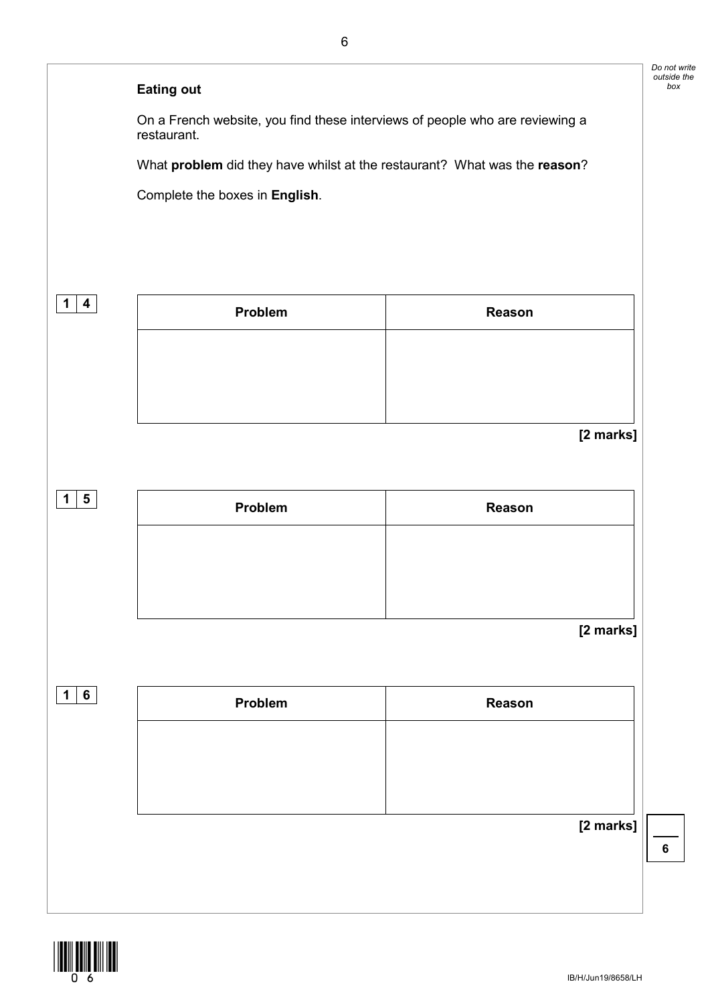# **Eating out**

On a French website, you find these interviews of people who are reviewing a restaurant.

What **problem** did they have whilst at the restaurant? What was the **reason**?

Complete the boxes in **English**.

| $\mathbf 1$<br>$\boldsymbol{4}$ | Problem | Reason    |
|---------------------------------|---------|-----------|
|                                 |         |           |
|                                 |         |           |
|                                 |         | [2 marks] |
| $1 \mid 5$                      | Problem | Reason    |
|                                 |         |           |

#### **[2 marks]**

| 1 <sup>1</sup><br>6 | Problem | Reason    |
|---------------------|---------|-----------|
|                     |         |           |
|                     |         |           |
|                     |         |           |
|                     |         | [2 marks] |
|                     |         |           |
|                     |         |           |



**6**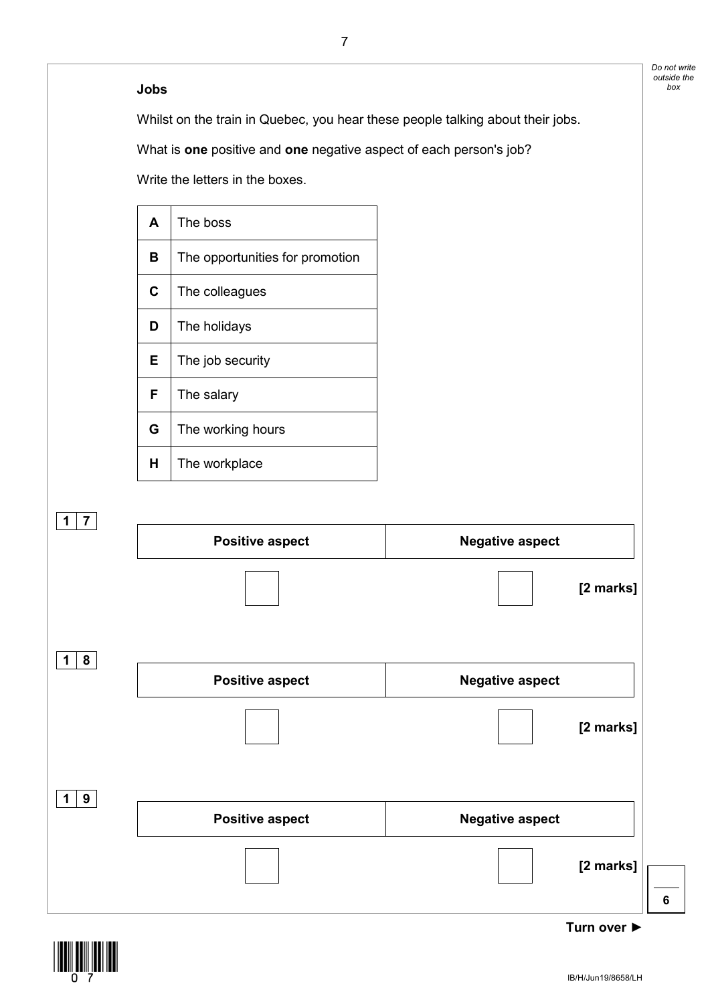#### **Jobs**

Whilst on the train in Quebec, you hear these people talking about their jobs.

What is **one** positive and **one** negative aspect of each person's job?

Write the letters in the boxes.

| A  | The boss                        |
|----|---------------------------------|
| в  | The opportunities for promotion |
| C  | The colleagues                  |
| D  | The holidays                    |
| E. | The job security                |
| F  | The salary                      |
| G  | The working hours               |
| н  | The workplace                   |



![](_page_6_Picture_6.jpeg)

*Do not write outside the box*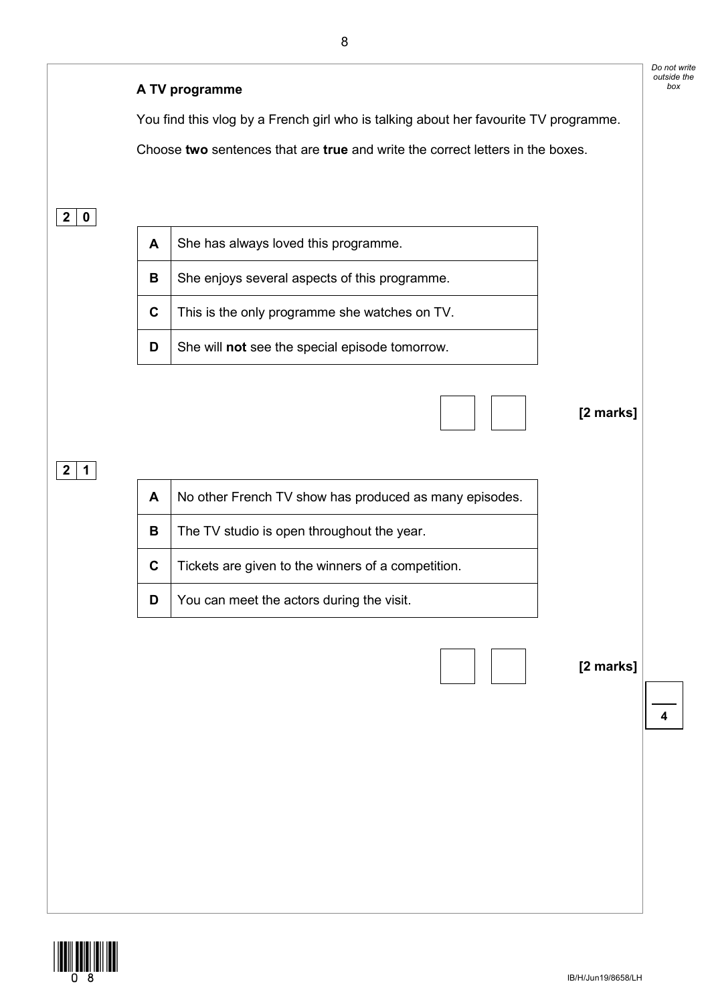![](_page_7_Figure_0.jpeg)

![](_page_7_Picture_1.jpeg)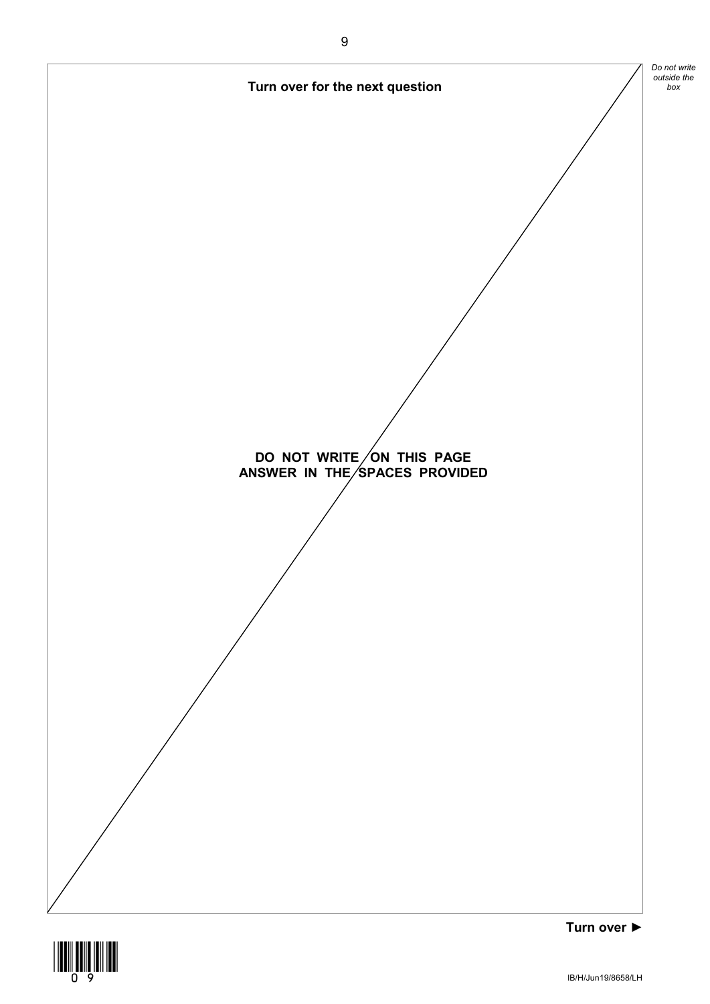![](_page_8_Figure_0.jpeg)

![](_page_8_Picture_1.jpeg)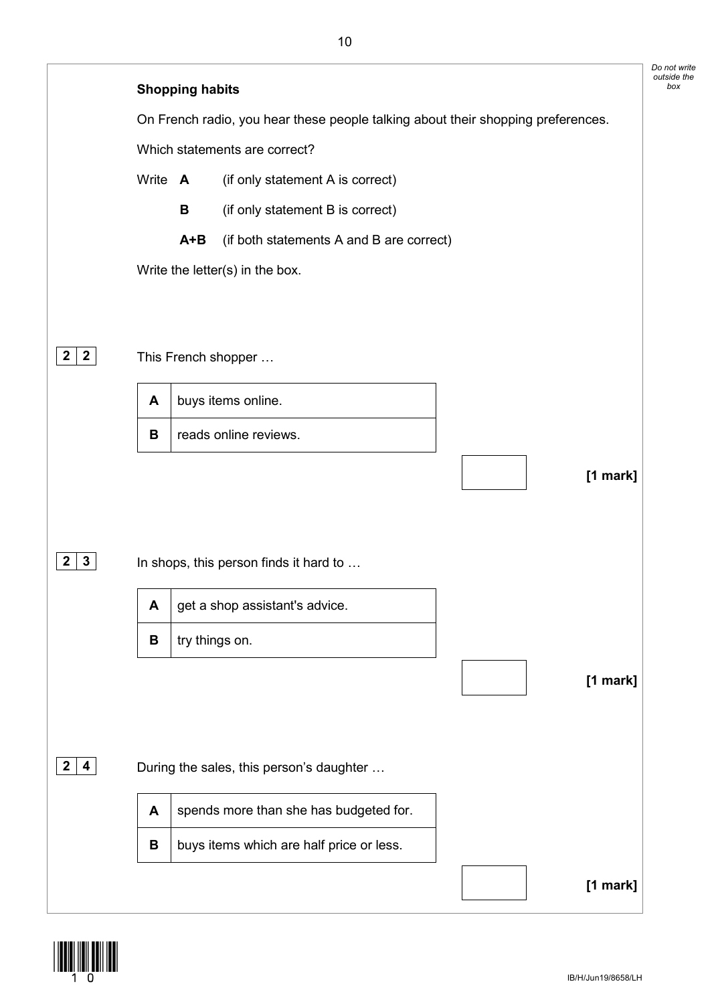![](_page_9_Figure_0.jpeg)

![](_page_9_Picture_1.jpeg)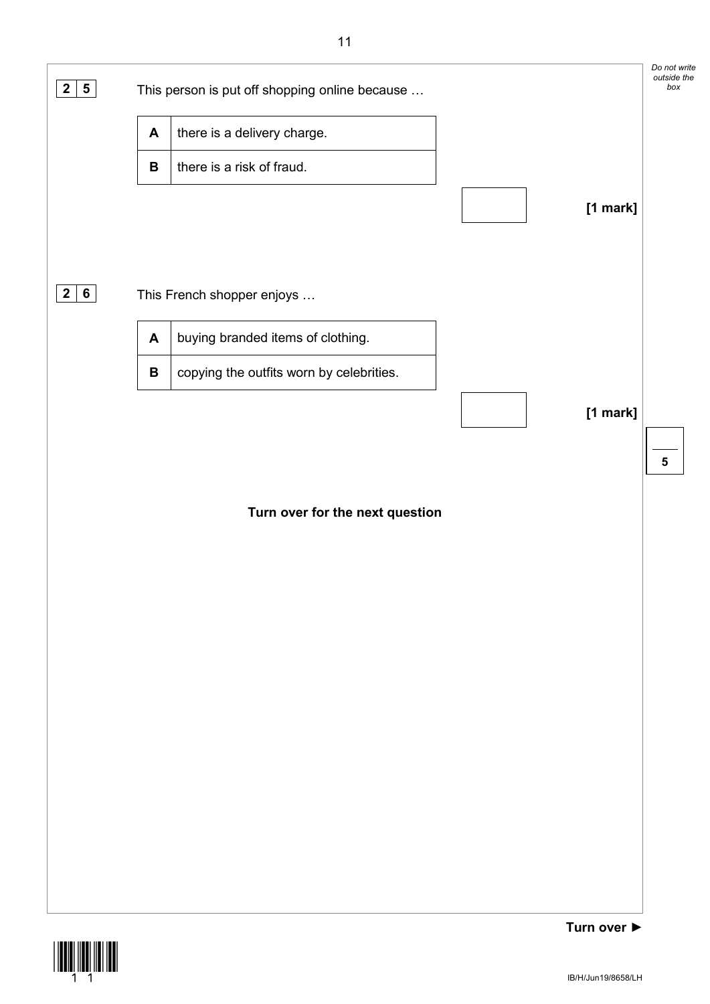![](_page_10_Figure_0.jpeg)

![](_page_10_Picture_1.jpeg)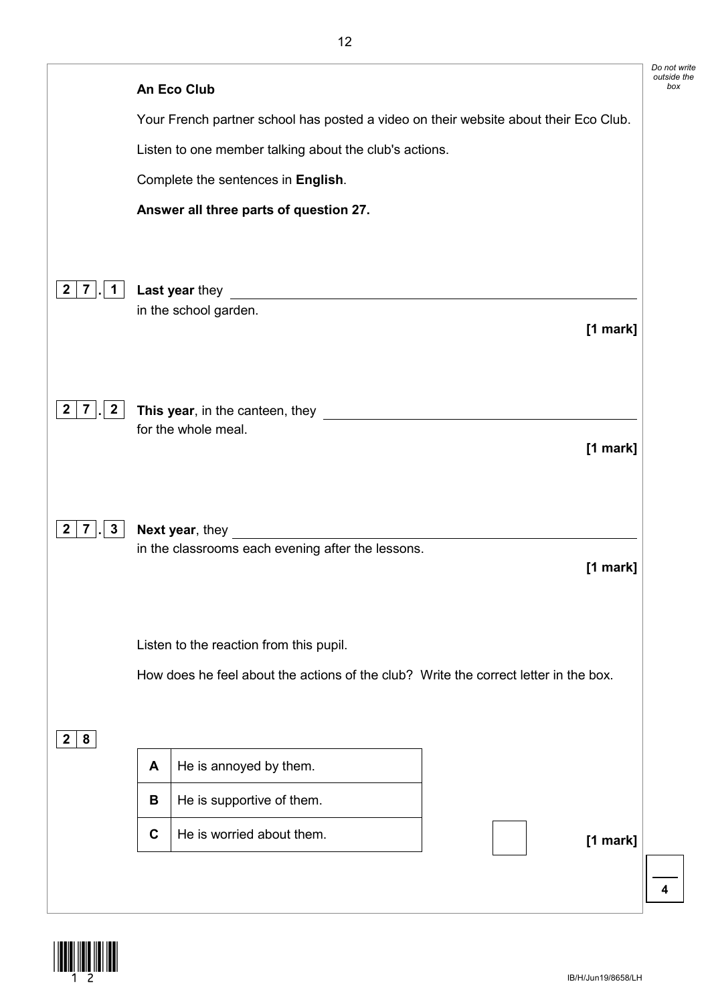|                                                | <b>An Eco Club</b>                                                                                                                      |            |
|------------------------------------------------|-----------------------------------------------------------------------------------------------------------------------------------------|------------|
|                                                | Your French partner school has posted a video on their website about their Eco Club.                                                    |            |
|                                                | Listen to one member talking about the club's actions.                                                                                  |            |
|                                                | Complete the sentences in English.                                                                                                      |            |
|                                                | Answer all three parts of question 27.                                                                                                  |            |
|                                                |                                                                                                                                         |            |
| $2 \mid 7 \mid$ .<br>$\mathbf 1$               | Last year they<br><u> 1989 - Jan Sterlinger, skriuwer fan it ferstjer fan it ferstjer fan it ferstjer fan it ferstjer fan it ferstj</u> |            |
|                                                | in the school garden.                                                                                                                   | [1 mark]   |
|                                                |                                                                                                                                         |            |
|                                                |                                                                                                                                         |            |
| $\mathbf{2}$<br>$\mathbf{2}$<br>$\overline{7}$ | This year, in the canteen, they<br>for the whole meal.                                                                                  |            |
|                                                |                                                                                                                                         | [1 mark]   |
|                                                |                                                                                                                                         |            |
| $\mathbf{3}$<br>$\mathbf{2}$<br>$7 \mid$ .     | Next year, they                                                                                                                         |            |
|                                                | in the classrooms each evening after the lessons.                                                                                       |            |
|                                                |                                                                                                                                         | $[1$ mark] |
|                                                |                                                                                                                                         |            |
|                                                | Listen to the reaction from this pupil.                                                                                                 |            |
|                                                | How does he feel about the actions of the club? Write the correct letter in the box.                                                    |            |
|                                                |                                                                                                                                         |            |
| 8<br>2 <sup>2</sup>                            |                                                                                                                                         |            |
|                                                | He is annoyed by them.<br>A                                                                                                             |            |
|                                                | He is supportive of them.<br>B                                                                                                          |            |
|                                                |                                                                                                                                         |            |

![](_page_11_Picture_1.jpeg)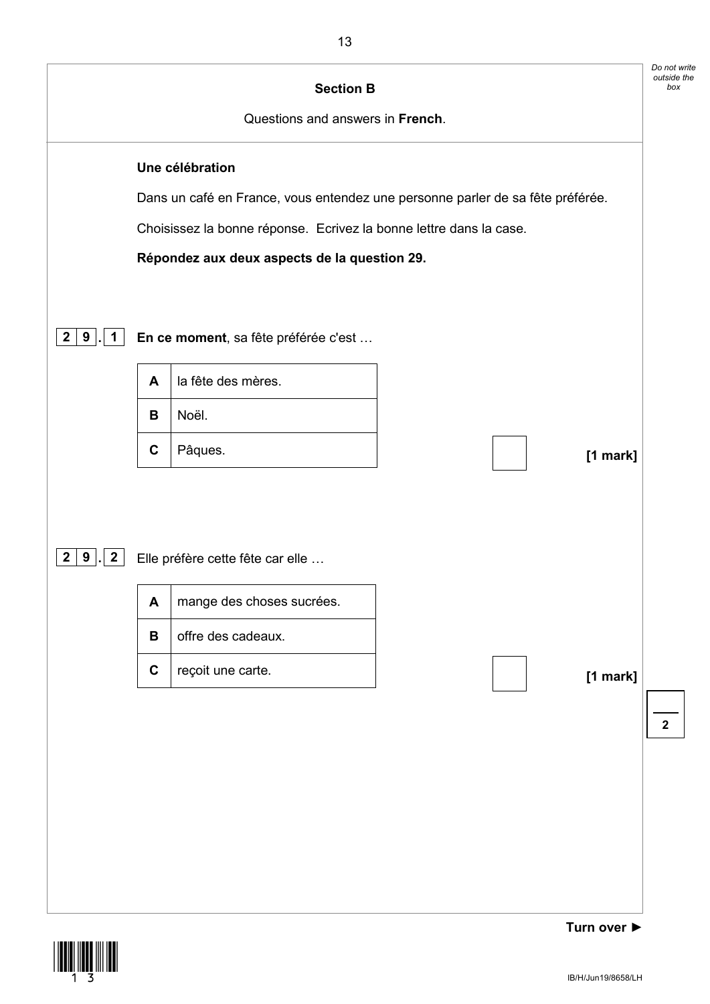![](_page_12_Figure_0.jpeg)

![](_page_12_Picture_1.jpeg)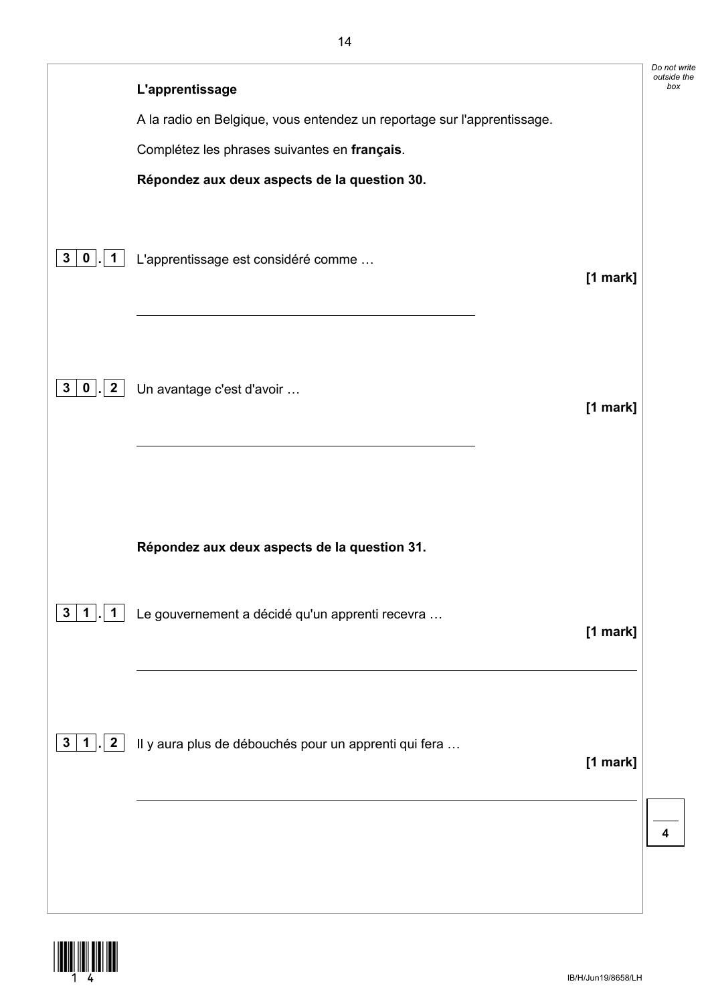|                                                |                                                                         | Do not write       |
|------------------------------------------------|-------------------------------------------------------------------------|--------------------|
|                                                | L'apprentissage                                                         | outside the<br>box |
|                                                | A la radio en Belgique, vous entendez un reportage sur l'apprentissage. |                    |
|                                                | Complétez les phrases suivantes en français.                            |                    |
|                                                | Répondez aux deux aspects de la question 30.                            |                    |
| 3 0<br>1                                       | L'apprentissage est considéré comme<br>$[1$ mark]                       |                    |
| 3 0<br>$\overline{2}$                          | Un avantage c'est d'avoir<br>$[1$ mark]                                 |                    |
|                                                | Répondez aux deux aspects de la question 31.                            |                    |
| $3\phantom{a}$                                 | Le gouvernement a décidé qu'un apprenti recevra<br>[1 mark]             |                    |
| 3 <sup>1</sup><br>$\mathbf{2}$<br>$\mathbf{1}$ | Il y aura plus de débouchés pour un apprenti qui fera<br>[1 mark]       |                    |
|                                                |                                                                         |                    |

![](_page_13_Picture_1.jpeg)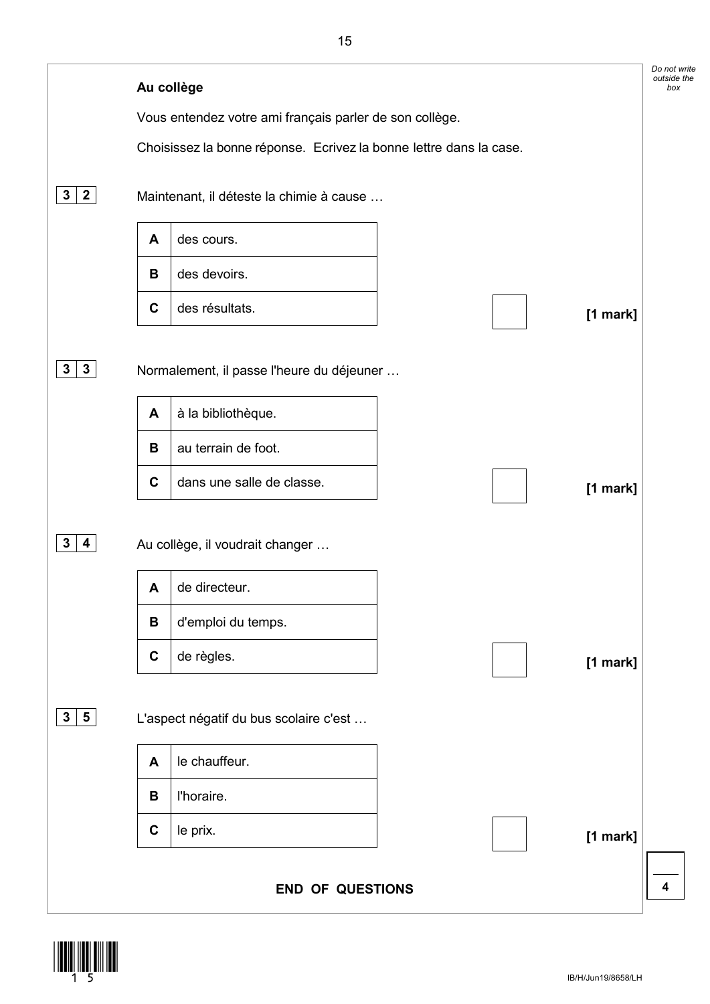![](_page_14_Picture_0.jpeg)

![](_page_14_Picture_1.jpeg)